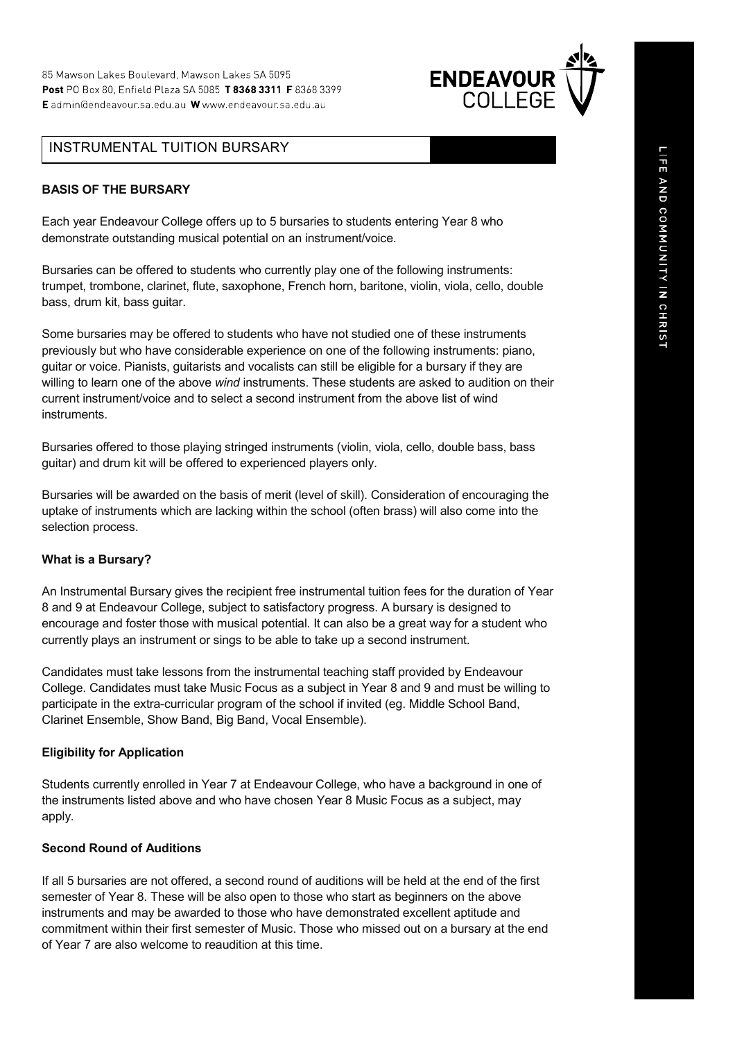

## INSTRUMENTAL TUITION BURSARY

#### **BASIS OF THE BURSARY**

Each year Endeavour College offers up to 5 bursaries to students entering Year 8 who demonstrate outstanding musical potential on an instrument/voice.

Bursaries can be offered to students who currently play one of the following instruments: trumpet, trombone, clarinet, flute, saxophone, French horn, baritone, violin, viola, cello, double bass, drum kit, bass guitar.

Some bursaries may be offered to students who have not studied one of these instruments previously but who have considerable experience on one of the following instruments: piano, guitar or voice. Pianists, guitarists and vocalists can still be eligible for a bursary if they are willing to learn one of the above *wind* instruments. These students are asked to audition on their current instrument/voice and to select a second instrument from the above list of wind instruments.

Bursaries offered to those playing stringed instruments (violin, viola, cello, double bass, bass guitar) and drum kit will be offered to experienced players only.

Bursaries will be awarded on the basis of merit (level of skill). Consideration of encouraging the uptake of instruments which are lacking within the school (often brass) will also come into the selection process.

#### **What is a Bursary?**

An Instrumental Bursary gives the recipient free instrumental tuition fees for the duration of Year 8 and 9 at Endeavour College, subject to satisfactory progress. A bursary is designed to encourage and foster those with musical potential. It can also be a great way for a student who currently plays an instrument or sings to be able to take up a second instrument.

Candidates must take lessons from the instrumental teaching staff provided by Endeavour College. Candidates must take Music Focus as a subject in Year 8 and 9 and must be willing to participate in the extra-curricular program of the school if invited (eg. Middle School Band, Clarinet Ensemble, Show Band, Big Band, Vocal Ensemble).

#### **Eligibility for Application**

Students currently enrolled in Year 7 at Endeavour College, who have a background in one of the instruments listed above and who have chosen Year 8 Music Focus as a subject, may apply.

#### **Second Round of Auditions**

If all 5 bursaries are not offered, a second round of auditions will be held at the end of the first semester of Year 8. These will be also open to those who start as beginners on the above instruments and may be awarded to those who have demonstrated excellent aptitude and commitment within their first semester of Music. Those who missed out on a bursary at the end of Year 7 are also welcome to reaudition at this time.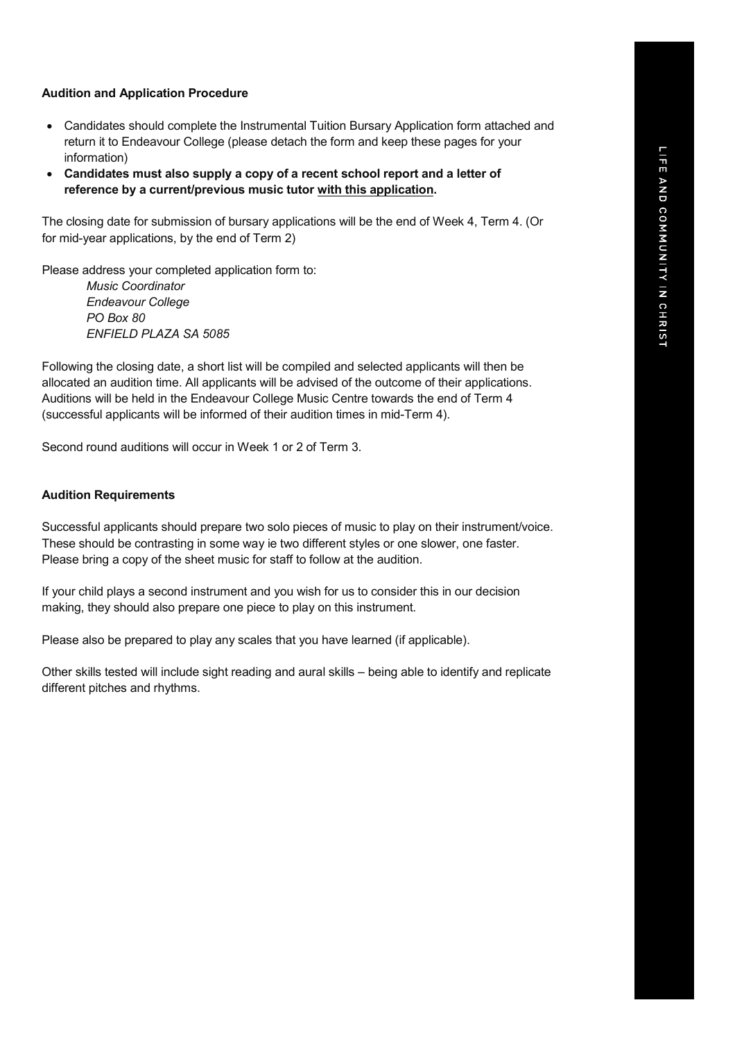#### **Audition and Application Procedure**

- Candidates should complete the Instrumental Tuition Bursary Application form attached and return it to Endeavour College (please detach the form and keep these pages for your information)
- **Candidates must also supply a copy of a recent school report and a letter of reference by a current/previous music tutor with this application.**

The closing date for submission of bursary applications will be the end of Week 4, Term 4. (Or for mid-year applications, by the end of Term 2)

Please address your completed application form to:

*Music Coordinator Endeavour College PO Box 80 ENFIELD PLAZA SA 5085*

Following the closing date, a short list will be compiled and selected applicants will then be allocated an audition time. All applicants will be advised of the outcome of their applications. Auditions will be held in the Endeavour College Music Centre towards the end of Term 4 (successful applicants will be informed of their audition times in mid-Term 4).

Second round auditions will occur in Week 1 or 2 of Term 3.

#### **Audition Requirements**

Successful applicants should prepare two solo pieces of music to play on their instrument/voice. These should be contrasting in some way ie two different styles or one slower, one faster. Please bring a copy of the sheet music for staff to follow at the audition.

If your child plays a second instrument and you wish for us to consider this in our decision making, they should also prepare one piece to play on this instrument.

Please also be prepared to play any scales that you have learned (if applicable).

Other skills tested will include sight reading and aural skills – being able to identify and replicate different pitches and rhythms.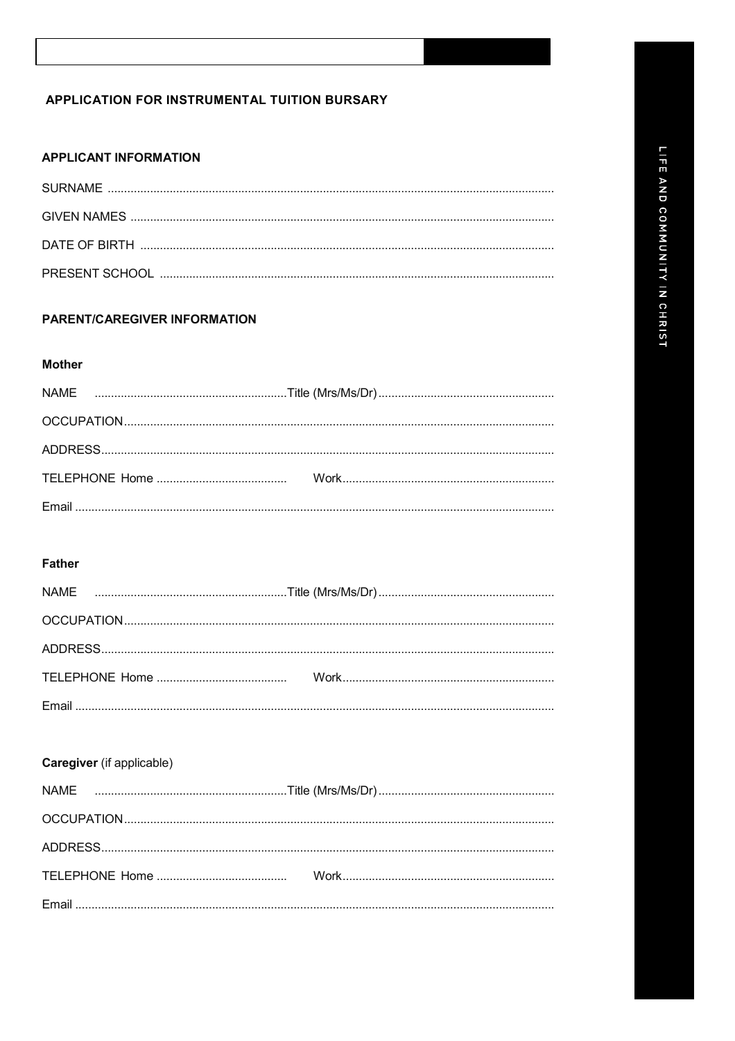## APPLICATION FOR INSTRUMENTAL TUITION BURSARY

# **APPLICANT INFORMATION**

# **PARENT/CAREGIVER INFORMATION**

#### **Mother**

## **Father**

# Caregiver (if applicable)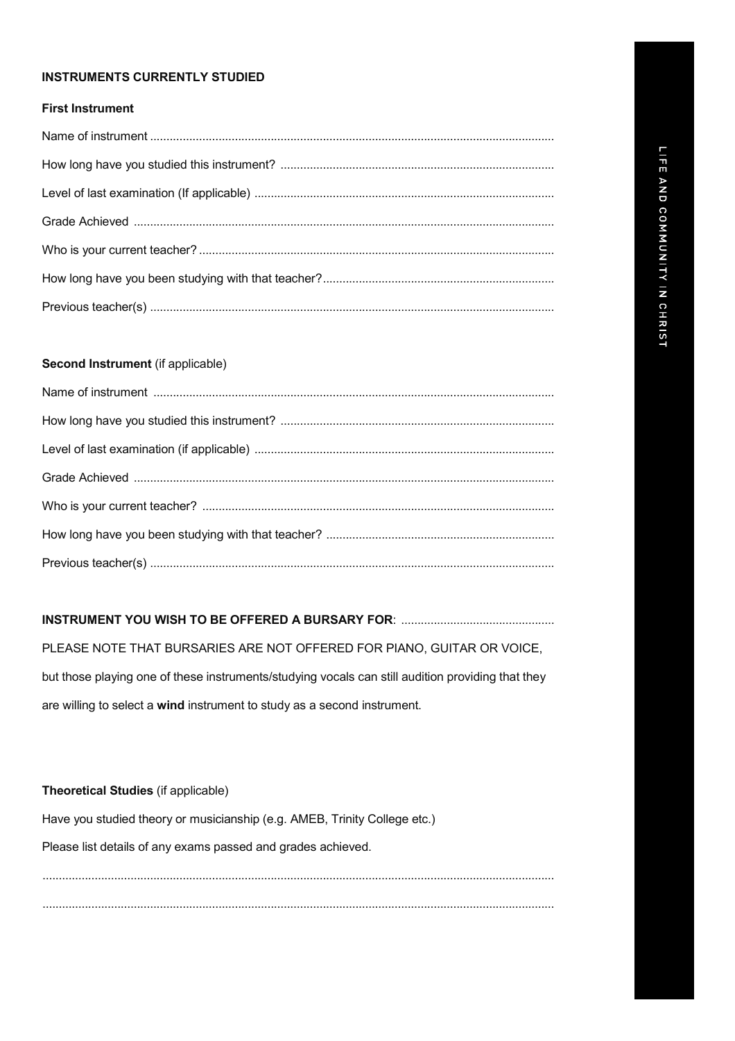### **INSTRUMENTS CURRENTLY STUDIED**

### **First Instrument**

### **Second Instrument** (if applicable)

## **INSTRUMENT YOU WISH TO BE OFFERED A BURSARY FOR**: ...............................................

PLEASE NOTE THAT BURSARIES ARE NOT OFFERED FOR PIANO, GUITAR OR VOICE, but those playing one of these instruments/studying vocals can still audition providing that they are willing to select a **wind** instrument to study as a second instrument.

### **Theoretical Studies** (if applicable)

Have you studied theory or musicianship (e.g. AMEB, Trinity College etc.)

Please list details of any exams passed and grades achieved.

............................................................................................................................................................. .............................................................................................................................................................